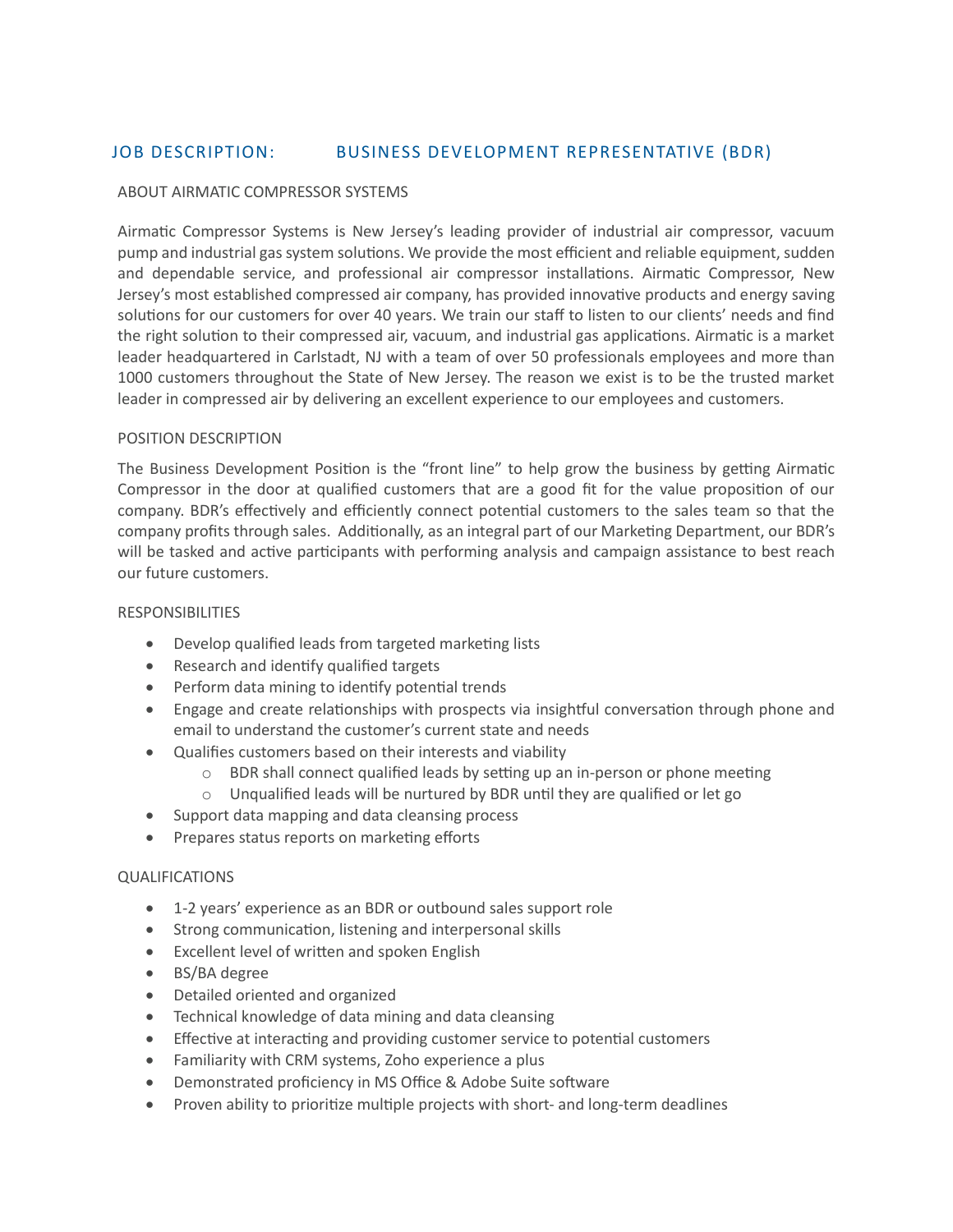# JOB DESCRIPTION: BUSINESS DEVELOPMENT REPRESENTATIVE (BDR)

#### ABOUT AIRMATIC COMPRESSOR SYSTEMS

Airmatic Compressor Systems is New Jersey's leading provider of industrial air compressor, vacuum pump and industrial gas system solutions. We provide the most efficient and reliable equipment, sudden and dependable service, and professional air compressor installations. Airmatic Compressor, New Jersey's most established compressed air company, has provided innovative products and energy saving solutions for our customers for over 40 years. We train our staff to listen to our clients' needs and find the right solution to their compressed air, vacuum, and industrial gas applications. Airmatic is a market leader headquartered in Carlstadt, NJ with a team of over 50 professionals employees and more than 1000 customers throughout the State of New Jersey. The reason we exist is to be the trusted market leader in compressed air by delivering an excellent experience to our employees and customers.

#### POSITION DESCRIPTION

The Business Development Position is the "front line" to help grow the business by getting Airmatic Compressor in the door at qualified customers that are a good fit for the value proposition of our company. BDR's effectively and efficiently connect potential customers to the sales team so that the company profits through sales. Additionally, as an integral part of our Marketing Department, our BDR's will be tasked and active participants with performing analysis and campaign assistance to best reach our future customers.

#### RESPONSIBILITIES

- Develop qualified leads from targeted marketing lists
- Research and identify qualified targets
- Perform data mining to identify potential trends
- Engage and create relationships with prospects via insightful conversation through phone and email to understand the customer's current state and needs
- Qualifies customers based on their interests and viability
	- o BDR shall connect qualified leads by setting up an in-person or phone meeting
	- o Unqualified leads will be nurtured by BDR until they are qualified or let go
- Support data mapping and data cleansing process
- Prepares status reports on marketing efforts

### QUALIFICATIONS

- 1-2 years' experience as an BDR or outbound sales support role
- Strong communication, listening and interpersonal skills
- Excellent level of written and spoken English
- BS/BA degree
- Detailed oriented and organized
- Technical knowledge of data mining and data cleansing
- Effective at interacting and providing customer service to potential customers
- Familiarity with CRM systems, Zoho experience a plus
- Demonstrated proficiency in MS Office & Adobe Suite software
- Proven ability to prioritize multiple projects with short- and long-term deadlines